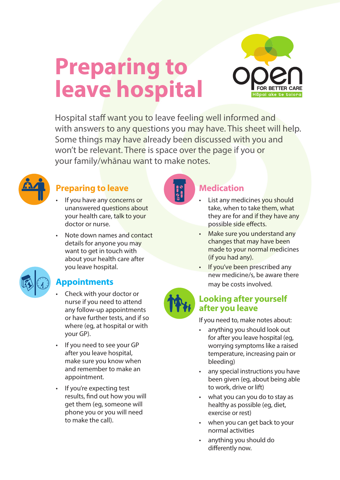

# **Preparing to leave hospital**

Hospital staff want you to leave feeling well informed and with answers to any questions you may have. This sheet will help. Some things may have already been discussed with you and won't be relevant. There is space over the page if you or your family/whānau want to make notes.



### **Preparing to leave**

- If you have any concerns or unanswered questions about your health care, talk to your doctor or nurse.
- Note down names and contact details for anyone you may want to get in touch with about your health care after you leave hospital.



#### **Appointments**

- Check with your doctor or nurse if you need to attend any follow-up appointments or have further tests, and if so where (eg, at hospital or with your GP).
- If you need to see your GP after you leave hospital, make sure you know when and remember to make an appointment.
- If you're expecting test results, find out how you will get them (eg, someone will phone you or you will need to make the call).



#### **Medication**

- List any medicines you should take, when to take them, what they are for and if they have any possible side effects.
- Make sure you understand any changes that may have been made to your normal medicines (if you had any).
- If you've been prescribed any new medicine/s, be aware there may be costs involved.



#### **Looking after yourself after you leave**

If you need to, make notes about:

- anything you should look out for after you leave hospital (eg, worrying symptoms like a raised temperature, increasing pain or bleeding)
- any special instructions you have been given (eg, about being able to work, drive or lift)
- what you can you do to stay as healthy as possible (eg, diet, exercise or rest)
- when you can get back to your normal activities
- anything you should do differently now.